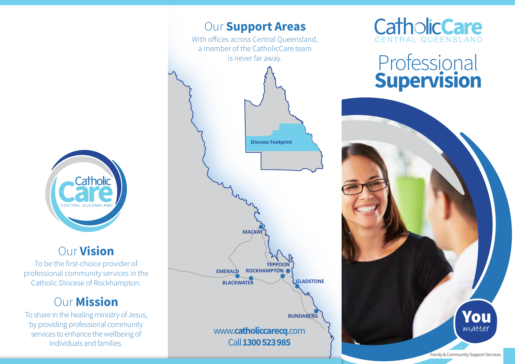

### Our Vision

To be the first-choice provider of professional community services in the Catholic Diocese of Rockhampton.

### **Our Mission**

To share in the healing ministry of Jesus, by providing professional community services to enhance the wellbeing of individuals and families.



# **CatholicCare**

# Professional Supervision